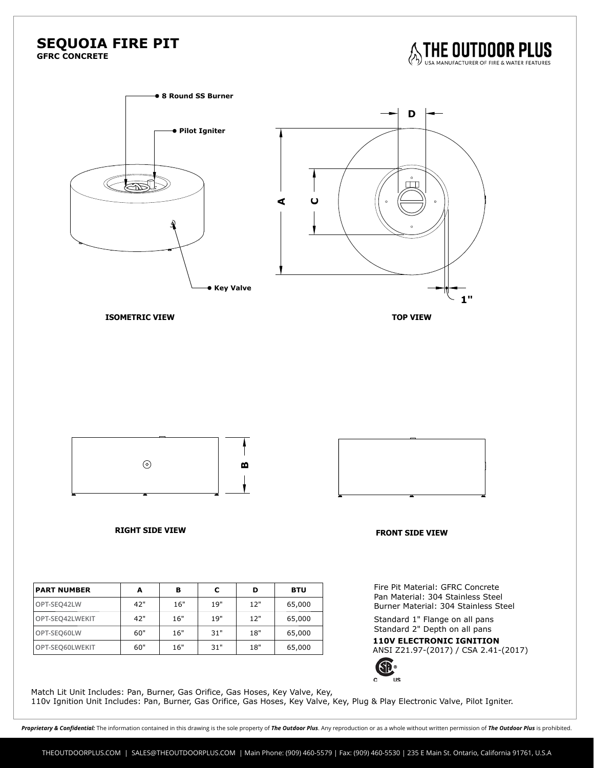## **SEQUOIA FIRE PIT**

**GFRC CONCRETE**





110v Ignition Unit Includes: Pan, Burner, Gas Orifice, Gas Hoses, Key Valve, Key, Plug & Play Electronic Valve, Pilot Igniter.

Proprietary & Confidential: The information contained in this drawing is the sole property of The Outdoor Plus. Any reproduction or as a whole without written permission of The Outdoor Plus is prohibited.